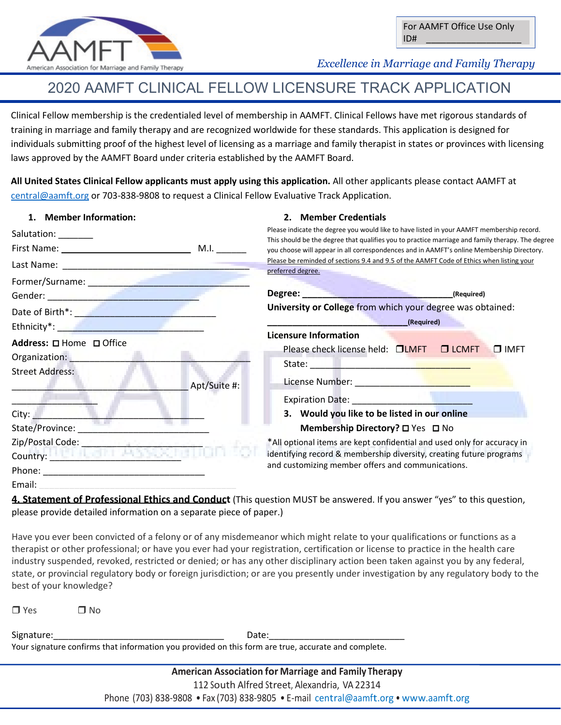

 *Excellence in Marriage and Family Therapy*

# 2020 AAMFT CLINICAL FELLOW LICENSURE TRACK APPLICATION

Clinical Fellow membership is the credentialed level of membership in AAMFT. Clinical Fellows have met rigorous standards of training in marriage and family therapy and are recognized worldwide for these standards. This application is designed for individuals submitting proof of the highest level of licensing as a marriage and family therapist in states or provinces with licensing laws approved by the AAMFT Board under criteria established by the AAMFT Board.

**All United States Clinical Fellow applicants must apply using this application.** All other applicants please contact AAMFT at [central@aamft.org](mailto:central@aamft.org) or 703-838-9808 to request a Clinical Fellow Evaluative Track Application.

## **1. Member Information:**

## **2. Member Credentials**

Salutation: First Name: \_\_\_\_\_\_\_\_\_ M.I. \_\_\_\_\_\_ Last Name: \_\_\_\_\_\_\_\_\_\_\_\_\_\_\_\_\_\_\_\_\_\_\_\_\_\_\_\_\_\_\_\_\_\_\_\_\_ Former/Surname: \_\_\_\_\_\_\_\_\_\_\_\_\_\_\_\_\_\_\_\_\_\_\_\_\_\_\_\_\_\_\_\_ Gender: \_\_\_\_\_\_\_\_\_\_\_\_\_\_\_\_\_\_\_\_\_\_\_\_\_\_\_\_\_\_ Date of Birth<sup>\*</sup>: **We also also be a set of Birth** Ethnicity\*: **Address:** □ Home □ Office Organization: Street Address: Apt/Suite #:  $\mathcal{L}=\mathcal{L}$ City: State/Province: Zip/Postal Code: Country: **We are all the country:** Phone: Email: **\_\_\_\_\_\_\_\_\_\_\_\_\_\_\_\_\_\_\_\_\_\_\_\_\_\_\_\_\_\_\_\_\_\_\_\_\_\_\_**  Please indicate the degree you would like to have listed in your AAMFT membership record. This should be the degree that qualifies you to practice marriage and family therapy. The degree you choose will appear in all correspondences and in AAMFT's online Membership Directory. Please be reminded of sections 9.4 and 9.5 of the AAMFT Code of Ethics when listing your preferred degree. **Degree: Constitution Constitution Constitution Constitution Constitution Constitution Constitution Constitution Constitution Constitution Constitution Constitution Constitution Constitution C University or College** from which your degree was obtained: **\_\_\_\_\_\_\_\_\_\_\_\_\_\_\_\_\_\_\_\_\_\_\_\_\_\_\_\_(Required) Licensure Information** Please check license held: **QLMFT COLCMFT QUARE** State: License Number: \_\_\_\_\_\_\_\_\_\_\_\_\_\_\_\_\_\_\_\_\_\_\_ Expiration Date: **3. Would you like to be listed in our online Membership Directory?** □ Yes □ No \*All optional items are kept confidential and used only for accuracy in identifying record & membership diversity, creating future programs and customizing member offers and communications.

**4. Statement of Professional Ethics and Conduct** (This question MUST be answered. If you answer "yes" to this question, please provide detailed information on a separate piece of paper.)

Have you ever been convicted of a felony or of any misdemeanor which might relate to your qualifications or functions as a therapist or other professional; or have you ever had your registration, certification or license to practice in the health care industry suspended, revoked, restricted or denied; or has any other disciplinary action been taken against you by any federal, state, or provincial regulatory body or foreign jurisdiction; or are you presently under investigation by any regulatory body to the best of your knowledge?

 $\Box$  Yes  $\Box$  No

Signature:\_\_\_\_\_\_\_\_\_\_\_\_\_\_\_\_\_\_\_\_\_\_\_\_\_\_\_\_\_\_\_\_\_\_ Date:\_\_\_\_\_\_\_\_\_\_\_\_\_\_\_\_\_\_\_\_\_\_\_\_\_\_\_

Your signature confirms that information you provided on this form are true, accurate and complete.

**American Association for Marriage and Family Therapy** 112 South Alfred Street, Alexandria, VA 22314 Phone (703) 838-9808 • Fax (703) 838-9805 • E-mail [central@aamft.org](mailto:central@aamft.org) • [www.aamft.org](http://www.aamft.org/)